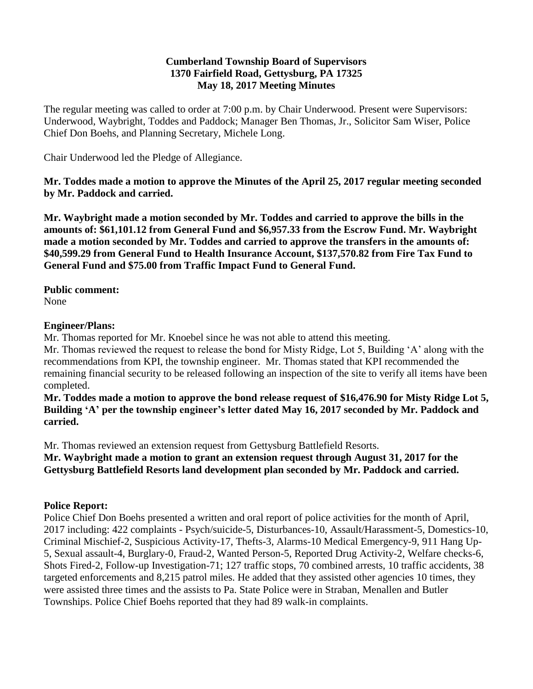#### **Cumberland Township Board of Supervisors 1370 Fairfield Road, Gettysburg, PA 17325 May 18, 2017 Meeting Minutes**

The regular meeting was called to order at 7:00 p.m. by Chair Underwood. Present were Supervisors: Underwood, Waybright, Toddes and Paddock; Manager Ben Thomas, Jr., Solicitor Sam Wiser, Police Chief Don Boehs, and Planning Secretary, Michele Long.

Chair Underwood led the Pledge of Allegiance.

**Mr. Toddes made a motion to approve the Minutes of the April 25, 2017 regular meeting seconded by Mr. Paddock and carried.**

**Mr. Waybright made a motion seconded by Mr. Toddes and carried to approve the bills in the amounts of: \$61,101.12 from General Fund and \$6,957.33 from the Escrow Fund. Mr. Waybright made a motion seconded by Mr. Toddes and carried to approve the transfers in the amounts of: \$40,599.29 from General Fund to Health Insurance Account, \$137,570.82 from Fire Tax Fund to General Fund and \$75.00 from Traffic Impact Fund to General Fund.**

**Public comment:**

None

## **Engineer/Plans:**

Mr. Thomas reported for Mr. Knoebel since he was not able to attend this meeting.

Mr. Thomas reviewed the request to release the bond for Misty Ridge, Lot 5, Building 'A' along with the recommendations from KPI, the township engineer. Mr. Thomas stated that KPI recommended the remaining financial security to be released following an inspection of the site to verify all items have been completed.

**Mr. Toddes made a motion to approve the bond release request of \$16,476.90 for Misty Ridge Lot 5, Building 'A' per the township engineer's letter dated May 16, 2017 seconded by Mr. Paddock and carried.**

Mr. Thomas reviewed an extension request from Gettysburg Battlefield Resorts.

**Mr. Waybright made a motion to grant an extension request through August 31, 2017 for the Gettysburg Battlefield Resorts land development plan seconded by Mr. Paddock and carried.** 

# **Police Report:**

Police Chief Don Boehs presented a written and oral report of police activities for the month of April, 2017 including: 422 complaints - Psych/suicide-5, Disturbances-10, Assault/Harassment-5, Domestics-10, Criminal Mischief-2, Suspicious Activity-17, Thefts-3, Alarms-10 Medical Emergency-9, 911 Hang Up-5, Sexual assault-4, Burglary-0, Fraud-2, Wanted Person-5, Reported Drug Activity-2, Welfare checks-6, Shots Fired-2, Follow-up Investigation-71; 127 traffic stops, 70 combined arrests, 10 traffic accidents, 38 targeted enforcements and 8,215 patrol miles. He added that they assisted other agencies 10 times, they were assisted three times and the assists to Pa. State Police were in Straban, Menallen and Butler Townships. Police Chief Boehs reported that they had 89 walk-in complaints.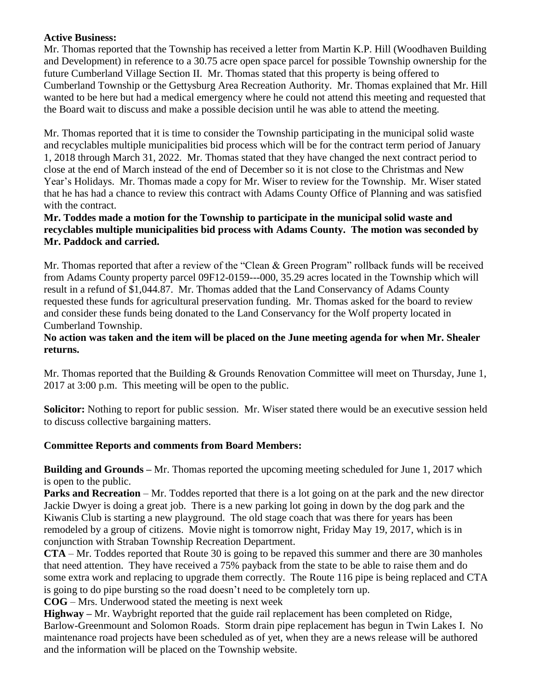## **Active Business:**

Mr. Thomas reported that the Township has received a letter from Martin K.P. Hill (Woodhaven Building and Development) in reference to a 30.75 acre open space parcel for possible Township ownership for the future Cumberland Village Section II. Mr. Thomas stated that this property is being offered to Cumberland Township or the Gettysburg Area Recreation Authority. Mr. Thomas explained that Mr. Hill wanted to be here but had a medical emergency where he could not attend this meeting and requested that the Board wait to discuss and make a possible decision until he was able to attend the meeting.

Mr. Thomas reported that it is time to consider the Township participating in the municipal solid waste and recyclables multiple municipalities bid process which will be for the contract term period of January 1, 2018 through March 31, 2022. Mr. Thomas stated that they have changed the next contract period to close at the end of March instead of the end of December so it is not close to the Christmas and New Year's Holidays. Mr. Thomas made a copy for Mr. Wiser to review for the Township. Mr. Wiser stated that he has had a chance to review this contract with Adams County Office of Planning and was satisfied with the contract.

## **Mr. Toddes made a motion for the Township to participate in the municipal solid waste and recyclables multiple municipalities bid process with Adams County. The motion was seconded by Mr. Paddock and carried.**

Mr. Thomas reported that after a review of the "Clean & Green Program" rollback funds will be received from Adams County property parcel 09F12-0159---000, 35.29 acres located in the Township which will result in a refund of \$1,044.87. Mr. Thomas added that the Land Conservancy of Adams County requested these funds for agricultural preservation funding. Mr. Thomas asked for the board to review and consider these funds being donated to the Land Conservancy for the Wolf property located in Cumberland Township.

## **No action was taken and the item will be placed on the June meeting agenda for when Mr. Shealer returns.**

Mr. Thomas reported that the Building & Grounds Renovation Committee will meet on Thursday, June 1, 2017 at 3:00 p.m. This meeting will be open to the public.

**Solicitor:** Nothing to report for public session. Mr. Wiser stated there would be an executive session held to discuss collective bargaining matters.

# **Committee Reports and comments from Board Members:**

**Building and Grounds –** Mr. Thomas reported the upcoming meeting scheduled for June 1, 2017 which is open to the public.

**Parks and Recreation** – Mr. Toddes reported that there is a lot going on at the park and the new director Jackie Dwyer is doing a great job. There is a new parking lot going in down by the dog park and the Kiwanis Club is starting a new playground. The old stage coach that was there for years has been remodeled by a group of citizens. Movie night is tomorrow night, Friday May 19, 2017, which is in conjunction with Straban Township Recreation Department.

**CTA** – Mr. Toddes reported that Route 30 is going to be repaved this summer and there are 30 manholes that need attention. They have received a 75% payback from the state to be able to raise them and do some extra work and replacing to upgrade them correctly. The Route 116 pipe is being replaced and CTA is going to do pipe bursting so the road doesn't need to be completely torn up.

**COG** – Mrs. Underwood stated the meeting is next week

**Highway –** Mr. Waybright reported that the guide rail replacement has been completed on Ridge, Barlow-Greenmount and Solomon Roads. Storm drain pipe replacement has begun in Twin Lakes I. No maintenance road projects have been scheduled as of yet, when they are a news release will be authored and the information will be placed on the Township website.